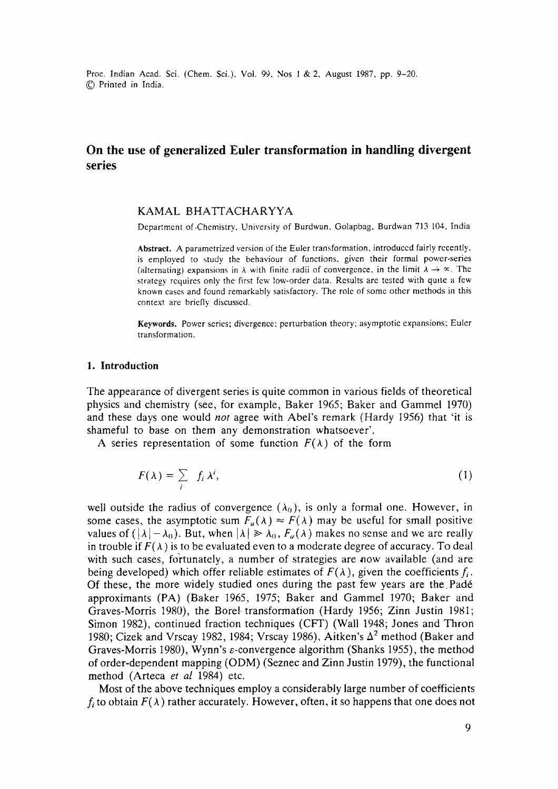# **On the use of generalized Euler transformation in handling divergent series**

## KAMAL BHATTACHARYYA

Department of-Chemistry, University of Burdwan, Golapbag, Burdwan 713 104, India

**Abstract.** A parametrized version of the Euler transformation, introduced fairly recently, is employed to study the behaviour of functions, given their formal power-series (alternating) expansions in  $\lambda$  with finite radii of convergence, in the limit  $\lambda \rightarrow \infty$ . The strategy requires only the first few low-order data. Results are tested with quite a few known cases and found remarkably satisfactory. The role of some other methods in this context are briefly discussed.

**Keywords.** Power series; divergence: perturbation theory; asymptotic expansions; Euler transformation.

#### **1. Introduction**

The appearance of divergent series is quite common in various fields of theoretical physics and chemistry (see, for example, Baker 1965; Baker and Gammel 1970) and these days one would *not* agree with Abel's remark (Hardy 1956) that 'it is shameful to base on them any demonstration whatsoever'.

A series representation of some function  $F(\lambda)$  of the form

$$
F(\lambda) = \sum_{i} f_i \lambda^i, \tag{1}
$$

well outside the radius of convergence  $(\lambda_0)$ , is only a formal one. However, in some cases, the asymptotic sum  $F_a(\lambda) \approx F(\lambda)$  may be useful for small positive values of  $(|\lambda| - \lambda_0)$ . But, when  $|\lambda| \ge \lambda_0$ ,  $F_a(\lambda)$  makes no sense and we are really in trouble if  $F(\lambda)$  is to be evaluated even to a moderate degree of accuracy. To deal with such cases, fortunately, a number of strategies are now available (and are being developed) which offer reliable estimates of  $F(\lambda)$ , given the coefficients f,. Of these, the more widely studied ones during the past few years are the Pad6 approximants (PA) (Baker 1965, 1975; Baker and Gammel 1970; Baker and Graves-Morris 1980), the Borel transformation (Hardy 1956; Zinn Justin 1981; Simon 1982), continued fraction techniques (CFF) (Wall 1948; Jones and Thron 1980; Cizek and Vrscay 1982, 1984; Vrscay 1986), Aitken's  $\Delta^2$  method (Baker and Graves-Morris 1980), Wynn's e-convergence algorithm (Shanks 1955), the method of order-dependent mapping (ODM) (Seznec and Zinn Justin 1979), the functional method (Arteca *et al* 1984) etc.

Most of the above techniques employ a considerably large number of coefficients  $f_i$  to obtain  $F(\lambda)$  rather accurately. However, often, it so happens that one does not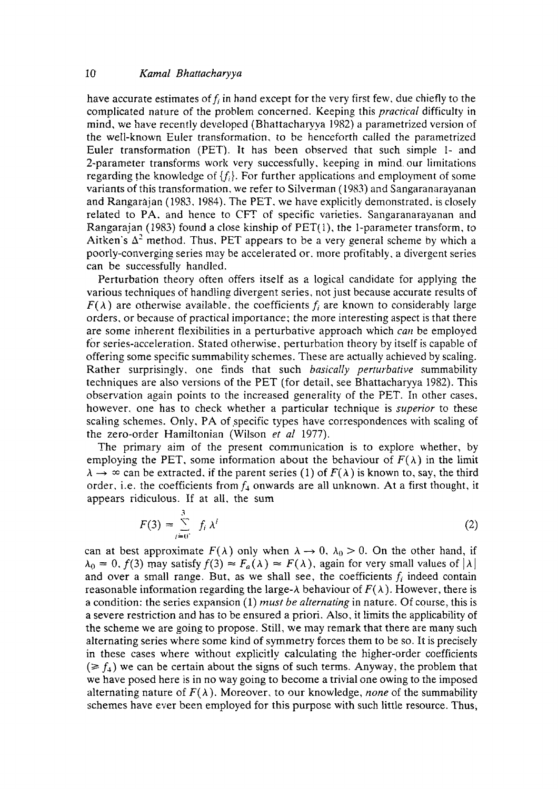have accurate estimates of  $f_i$  in hand except for the very first few, due chiefly to the complicated nature of the problem concerned. Keeping this *practical* difficulty in mind, we have recently developed (Bhattacharyya 1982) a parametrized version of the well-known Euler transformation, to be henceforth called the parametrized Euler transformation (PET). It has been observed that such simple 1- and 2-parameter transforms work very successfully, keeping in mind our limitations regarding the knowledge of  $\{f_i\}$ . For further applications and employment of some variants of this transformation, we refer to Silverman (1983) and Sangaranarayanan and Rangarajan (1983, 1984). The PET, we have explicitly demonstrated, is closely related to PA, and hence to CFT of specific varieties. Sangaranarayanan and Rangarajan (1983) found a close kinship of PET(I), the 1-parameter transform, to Aitken's  $\Delta^2$  method. Thus, PET appears to be a very general scheme by which a poorly-converging series may be accelerated or, more profitably, a divergent series can be successfully handled.

Perturbation theory often offers itself as a logical candidate for applying the various techniques of handling divergent series, not just because accurate results of  $F(\lambda)$  are otherwise available, the coefficients  $f_i$  are known to considerably large orders, or because of practical importance; the more interesting aspect is that there are some inherent flexibilities in a perturbative approach which *can* be employed for series-acceleration. Stated otherwise, perturbation theory by itself is capable of offering some specific summability schemes. These are actually achieved by scaling. Rather surprisingly, one finds that such *basically permrbative* summability techniques are also versions of the PET (for detail, see Bhattacharyya 1982). This observation again points to the increased generality of the PET. In other cases, however, one has to check whether a particular technique is *superior* to these scaling schemes. Only, PA of specific types have correspondences with scaling of the zero-order Hamiltonian (Wilson *et al* 1977).

The primary aim of the present communication is to explore whether, by employing the PET, some information about the behaviour of  $F(\lambda)$  in the limit  $\lambda \rightarrow \infty$  can be extracted, if the parent series (1) of  $F(\lambda)$  is known to, say, the third order, i.e. the coefficients from  $f_4$  onwards are all unknown. At a first thought, it appears ridiculous. If at all, the sum

$$
F(3) = \sum_{i=0}^{3} f_i \lambda^i
$$
 (2)

can at best approximate  $F(\lambda)$  only when  $\lambda \to 0$ ,  $\lambda_0 > 0$ . On the other hand, if  $\lambda_0 = 0$ ,  $f(3)$  may satisfy  $f(3) \approx F_a(\lambda) \approx F(\lambda)$ , again for very small values of  $|\lambda|$ and over a small range. But, as we shall see, the coefficients  $f_i$  indeed contain reasonable information regarding the large- $\lambda$  behaviour of  $F(\lambda)$ . However, there is a condition: the series expansion (1) *must be alternating* in nature. Of course, this is a severe restriction and has to be ensured a priori. Also, it limits the applicability of the scheme we are going to propose. Still, we may remark that there are many such alternating series where some kind of symmetry forces them to be so. It is precisely in these cases where without explicitly calculating the higher-order coefficients  $(\geq f_4)$  we can be certain about the signs of such terms. Anyway, the problem that we have posed here is in no way going to become a trivial one owing to the imposed alternating nature of  $F(\lambda)$ . Moreover, to our knowledge, *none* of the summability schemes have ever been employed for this purpose with such little resource. Thus,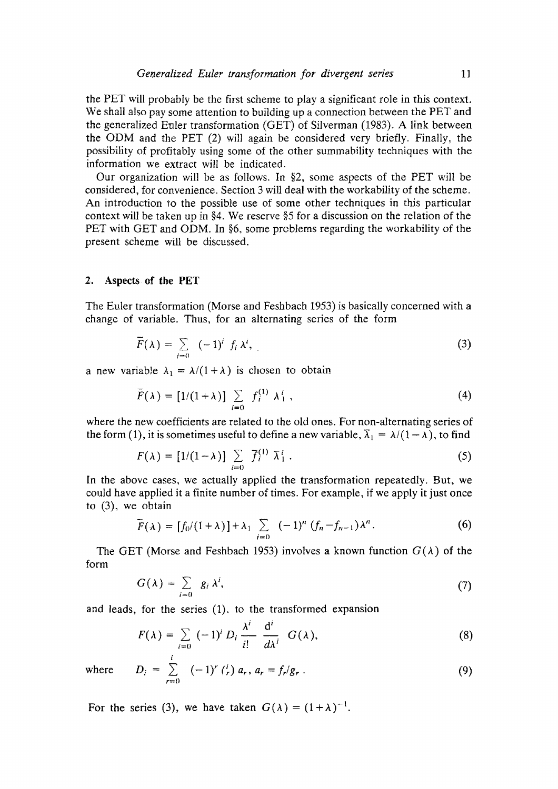the PET will probably be the first scheme to play a significant role in this context. We shall also pay some attention to building up a connection between the PET and the generalized Enler transformation (GET) of Silverman (1983). A link between the ODM and the PET (2) will again be considered very briefly. Finally, the possibility of profitably using some of the other summability techniques with the information we extract will be indicated.

Our organization will be as follows. In  $\S2$ , some aspects of the PET will be considered, for convenience. Section 3 will deal with the workability of the scheme. An introduction to the possible use of some other techniques in this particular context will be taken up in §4. We reserve §5 for a discussion on the relation of the PET with GET and ODM. In §6, some problems regarding the workability of the present scheme will be discussed.

#### **2. Aspects. of the PET**

The Euler transformation (Morse and Feshbach 1953) is basically concerned with a change of variable. Thus, for an alternating series of the form

$$
\widetilde{F}(\lambda) = \sum_{i=0}^{\infty} (-1)^i f_i \lambda^i,
$$
 (3)

a new variable  $\lambda_1 = \lambda/(1+\lambda)$  is chosen to obtain

$$
\overline{F}(\lambda) = [1/(1+\lambda)] \sum_{i=0} f_i^{(1)} \lambda_1^i,
$$
 (4)

where the new coefficients are related to the old ones. For non-alternating series of the form (1), it is sometimes useful to define a new variable,  $\overline{\lambda}_1 = \lambda/(1 - \lambda)$ , to find

$$
F(\lambda) = [1/(1-\lambda)] \sum_{i=0} \overline{f}_i^{(1)} \overline{\lambda}_1^i.
$$
 (5)

In the above cases, we actually applied the transformation repeatedly. But, we could have applied it a finite number of times. For example, if we apply it just once to (3), we obtain

$$
\tilde{F}(\lambda) = [f_0/(1+\lambda)] + \lambda_1 \sum_{i=0} (-1)^n (f_n - f_{n-1}) \lambda^n.
$$
 (6)

The GET (Morse and Feshbach 1953) involves a known function  $G(\lambda)$  of the form

$$
G(\lambda) = \sum_{i=0}^{\infty} g_i \lambda^i,
$$
 (7)

and leads, for the series (1). to the transformed expansion

$$
F(\lambda) = \sum_{i=0}^{\infty} (-1)^i D_i \frac{\lambda^i}{i!} \frac{d^i}{d\lambda^i} G(\lambda),
$$
 (8)

where 
$$
D_i = \sum_{r=0}^{5} (-1)^r \binom{i}{r} a_r, a_r = f_r/g_r
$$
. (9)

For the series (3), we have taken  $G(\lambda) = (1 + \lambda)^{-1}$ .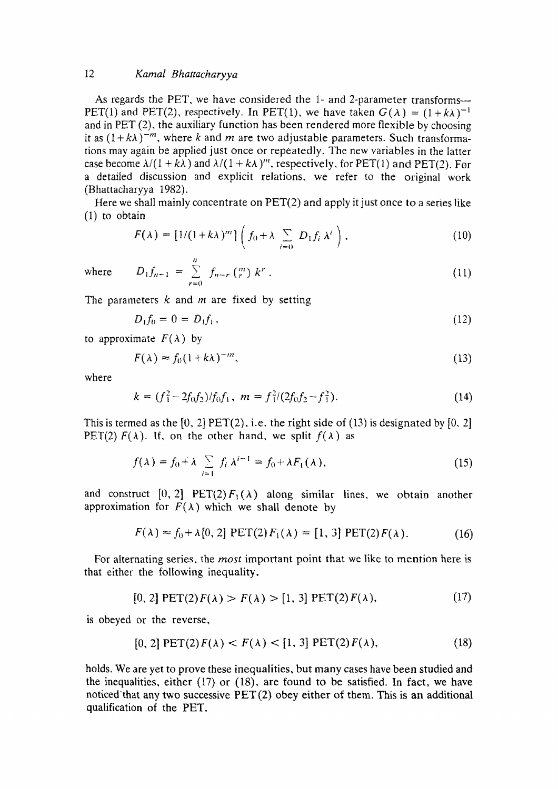As regards the PET, we have considered the 1- and 2-parameter transforms--PET(1) and PET(2), respectively. In PET(1), we have taken  $G(\lambda) = (1 + k\lambda)^{-1}$ and in PET (2), the auxiliary function has been rendered more flexible by choosing it as  $(1 + k\lambda)^{-m}$ , where k and m are two adjustable parameters. Such transformations may again be applied just once or repeatedly. The new variables in the latter case become  $\lambda/(1 + k\lambda)$  and  $\lambda/(1 + k\lambda)$ <sup>n</sup>, respectively, for PET(1) and PET(2). For a detailed discussion and explicit relations, we refer to the original work (Bhattacharyya 1982).

Here we shall mainly concentrate on PET(2) and apply it just once to a series like (1) to obtain

$$
F(\lambda) = [1/(1 + k\lambda)^m] \left( f_0 + \lambda \sum_{i=0}^{n} D_i f_i \lambda^i \right), \qquad (10)
$$

 $where$ 

$$
D_1 f_{n-1} = \sum_{r=0}^{n} f_{n-r} \binom{m}{r} k^r . \tag{11}
$$

The parameters  $k$  and  $m$  are fixed by setting

$$
D_1 f_0 = 0 = D_1 f_1, \tag{12}
$$

to approximate  $F(\lambda)$  by

$$
F(\lambda) \approx f_0 (1 + k\lambda)^{-m},\tag{13}
$$

where

$$
k = (f_1^2 - 2f_0f_2)/f_0f_1, \ m = f_1^2/(2f_0f_2 - f_1^2). \tag{14}
$$

This is termed as the  $[0, 2]$  PET $(2)$ , i.e. the right side of  $(13)$  is designated by  $[0, 2]$ PET(2)  $F(\lambda)$ . If, on the other hand, we split  $f(\lambda)$  as

$$
f(\lambda) = f_0 + \lambda \sum_{i=1}^{\infty} f_i \lambda^{i-1} = f_0 + \lambda F_1(\lambda), \qquad (15)
$$

and construct  $[0, 2]$  PET(2)  $F_1(\lambda)$  along similar lines, we obtain another approximation for  $F(\lambda)$  which we shall denote by

$$
F(\lambda) \approx f_0 + \lambda [0, 2] \text{ PET}(2) F_1(\lambda) = [1, 3] \text{ PET}(2) F(\lambda). \tag{16}
$$

For alternating series, the *most* important point that we like to mention here is that either the following inequality,

$$
[0, 2] \text{ PET}(2) F(\lambda) > F(\lambda) > [1, 3] \text{ PET}(2) F(\lambda), \tag{17}
$$

is obeyed or the reverse,

$$
[0, 2] \text{ PET}(2) F(\lambda) < F(\lambda) < [1, 3] \text{ PET}(2) F(\lambda), \tag{18}
$$

holds. We are yet to prove these inequalities, but many cases have been studied and the inequalities, either  $(17)$  or  $(18)$ , are found to be satisfied. In fact, we have noticed'that any two successive PET (2) obey either of them. This is an additional qualification of the PET.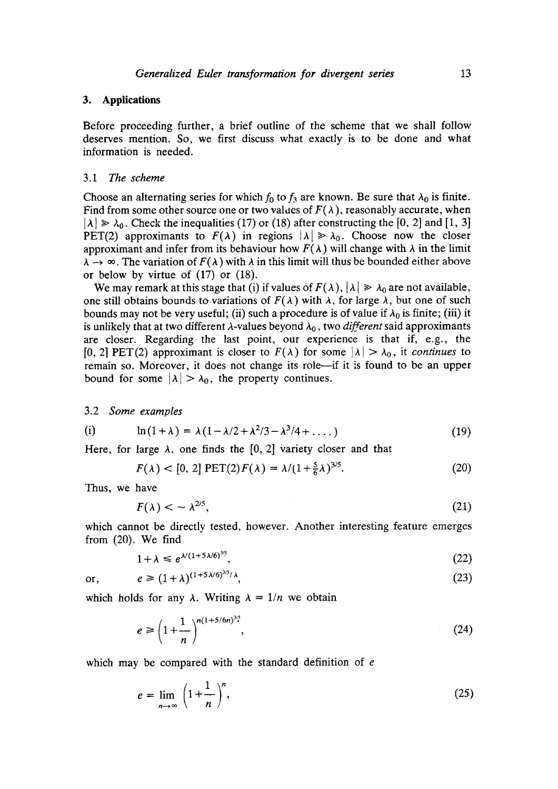## **3. Applications**

Before proceeding further, a brief outline of the scheme that we shall follow deserves mention. So, we first discuss what exactly is to be done and what information is needed.

#### *3.1 The scheme*

Choose an alternating series for which  $f_0$  to  $f_3$  are known. Be sure that  $\lambda_0$  is finite. Find from some other source one or two values of  $F(\lambda)$ , reasonably accurate, when  $|\lambda| \ge \lambda_0$ . Check the inequalities (17) or (18) after constructing the [0, 2] and [1, 3] PET(2) approximants to  $F(\lambda)$  in regions  $|\lambda| \ge \lambda_0$ . Choose now the closer approximant and infer from its behaviour how  $F(\lambda)$  will change with  $\lambda$  in the limit  $\lambda \rightarrow \infty$ . The variation of  $F(\lambda)$  with  $\lambda$  in this limit will thus be bounded either above or below by virtue of (17) or (18).

We may remark at this stage that (i) if values of  $F(\lambda)$ ,  $|\lambda| \ge \lambda_0$  are not available, one still obtains bounds to variations of  $F(\lambda)$  with  $\lambda$ , for large  $\lambda$ , but one of such bounds may not be very useful; (ii) such a procedure is of value if  $\lambda_0$  is finite; (iii) it is unlikely that at two different  $\lambda$ -values beyond  $\lambda_0$ , two *different* said approximants are closer. Regarding the last point, our experience is that if, e.g., the [0, 2] PET(2) approximant is closer to  $F(\lambda)$  for some  $|\lambda| > \lambda_0$ , it *continues* to remain so. Moreover, it does not change its role--if it is found to be an upper bound for some  $|\lambda| > \lambda_0$ , the property continues.

3.2 *Some examples* 

(i) 
$$
\ln(1+\lambda) = \lambda(1-\lambda/2+\lambda^2/3-\lambda^3/4+\dots)
$$
 (19)

Here, for large  $\lambda$ , one finds the [0, 2] variety closer and that

$$
F(\lambda) < [0, 2] \text{PET}(2)F(\lambda) = \lambda/(1 + \frac{5}{6}\lambda)^{3/5}.\tag{20}
$$

Thus, we have

$$
F(\lambda) < \sim \lambda^{2/5},\tag{21}
$$

which cannot be directly tested, however. Another interesting feature emerges from (20). We find

$$
1 + \lambda \leq e^{\lambda (1 + 5\lambda/6)^{3/5}},\tag{22}
$$

 $e \ge (1 + \lambda)^{(1+5\lambda/6)^{3/5}/\lambda},$  (23)

$$
\quad \text{or,} \quad
$$

which holds for any  $\lambda$ . Writing  $\lambda = 1/n$  we obtain

$$
e \ge \left(1 + \frac{1}{n}\right)^{n(1+5/6n)^{3/5}},
$$
\n(24)

which may be compared with the standard definition of e

$$
e = \lim_{n \to \infty} \left( 1 + \frac{1}{n} \right)^n, \tag{25}
$$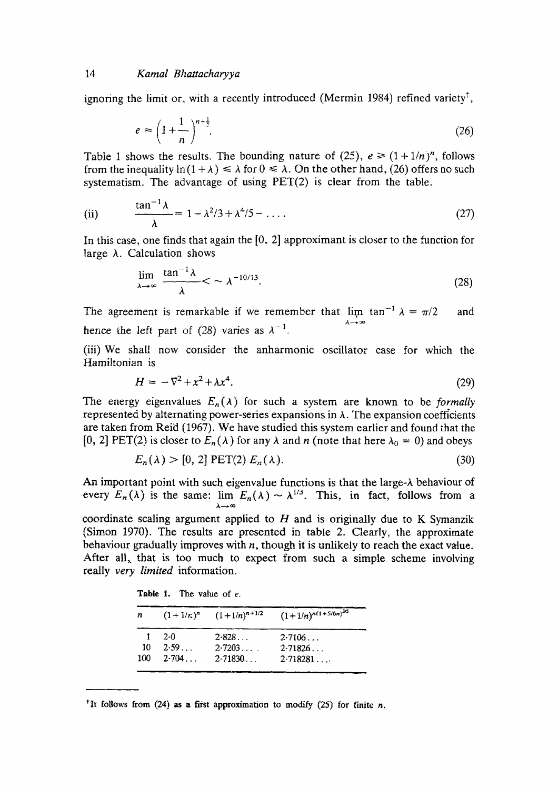ignoring the limit or, with a recently introduced (Mermin 1984) refined variety<sup>†</sup>,

$$
e \approx \left(1 + \frac{1}{n}\right)^{n + \frac{1}{2}}.\tag{26}
$$

Table 1 shows the results. The bounding nature of (25),  $e \ge (1 + 1/n)^n$ , follows from the inequality  $\ln(1 + \lambda) \le \lambda$  for  $0 \le \lambda$ . On the other hand, (26) offers no such systematism. The advantage of using PET(2) is clear from the table,

(ii) 
$$
\frac{\tan^{-1} \lambda}{\lambda} = 1 - \lambda^2 / 3 + \lambda^4 / 5 - \dots
$$
 (27)

In this case, one finds that again the  $[0, 2]$  approximant is closer to the function for large  $\lambda$ . Calculation shows

$$
\lim_{\lambda \to \infty} \frac{\tan^{-1} \lambda}{\lambda} < \sim \lambda^{-10/13}.\tag{28}
$$

The agreement is remarkable if we remember that  $\lim_{n \to \infty} \tan^{-1} \lambda = \pi/2$  and hence the left part of (28) varies as  $\lambda^{-1}$ .

(iii) We shall now consider the anharmonic oscillator case for which the Hamiltonian is

$$
H = -\nabla^2 + x^2 + \lambda x^4. \tag{29}
$$

The energy eigenvalues  $E_n(\lambda)$  for such a system are known to be *formally* represented by alternating power-series expansions in  $\lambda$ . The expansion coefficients are taken from Reid (1967). We have studied this system earlier and found that the [0, 2] PET(2) is closer to  $E_n(\lambda)$  for any  $\lambda$  and n (note that here  $\lambda_0 = 0$ ) and obeys

$$
E_n(\lambda) > [0, 2] \text{ PET}(2) E_n(\lambda). \tag{30}
$$

An important point with such eigenvalue functions is that the large- $\lambda$  behaviour of every  $E_n(\lambda)$  is the same:  $\lim_{n \to \infty} E_n(\lambda) \sim \lambda^{1/3}$ . This, in fact, follows from a ~..---~ oo

coordinate scaling argument applied to  $H$  and is originally due to K Symanzik (Simon 1970). The results are presented in table 2. Clearly, the approximate behaviour gradually improves with  $n$ , though it is unlikely to reach the exact value. After all, that is too much to expect from such a simple scheme involving really *very limited* information.

**Table** 1. The value of e.

| n  | $(1+1/r)^n$       | $(1+1/n)^{n+1/2}$ | $(1+1/n)^{n(1+5/6n)^{3/5}}$ |
|----|-------------------|-------------------|-----------------------------|
|    | -2.0              | 2.828             | 2.7106                      |
| 10 | 2.59              | 2.7203            | 2.71826                     |
|    | $100 \quad 2.704$ | 2.71830           | 2.718281                    |

<sup> $\dagger$ </sup>It follows from (24) as a first approximation to modify (25) for finite *n*.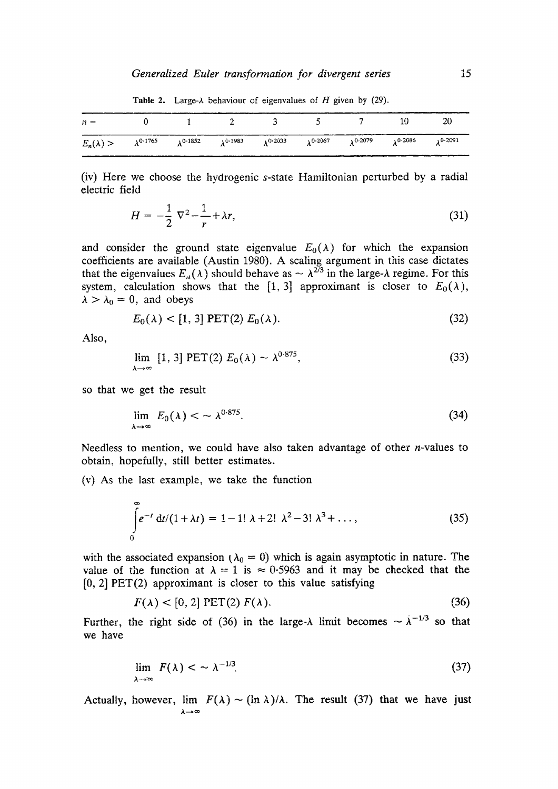| $n =$ 0 1 2 3 5 7 10 20                                                                                                                                                    |  |  |  |  |
|----------------------------------------------------------------------------------------------------------------------------------------------------------------------------|--|--|--|--|
| $E_n(\lambda)$ $>$ $\lambda^{0.1765}$ $\lambda^{0.1852}$ $\lambda^{0.1983}$ $\lambda^{0.2033}$ $\lambda^{0.2067}$ $\lambda^{0.2079}$ $\lambda^{0.2086}$ $\lambda^{0.2091}$ |  |  |  |  |

Table 2. Large- $\lambda$  behaviour of eigenvalues of H given by (29).

(iv) Here we choose the hydrogenic s-state Hamiltonian perturbed by a radial electric field

$$
H = -\frac{1}{2} \nabla^2 - \frac{1}{r} + \lambda r,\tag{31}
$$

and consider the ground state eigenvalue  $E_0(\lambda)$  for which the expansion coefficients are available (Austin 1980). A scaling argument in this case dictates that the eigenvalues  $E_n(\lambda)$  should behave as  $\sim \lambda^{2/3}$  in the large- $\lambda$  regime. For this system, calculation shows that the [1, 3] approximant is closer to  $E_0(\lambda)$ ,  $\lambda > \lambda_0 = 0$ , and obeys

$$
E_0(\lambda) < [1, 3] \text{ PET}(2) \ E_0(\lambda). \tag{32}
$$

Also,

$$
\lim_{\lambda \to \infty} [1, 3] \text{ PET}(2) E_0(\lambda) \sim \lambda^{0.875}, \tag{33}
$$

so that we get the result

$$
\lim_{\lambda \to \infty} E_0(\lambda) < \sim \lambda^{0.875}.\tag{34}
$$

Needless to mention, we could have also taken advantage of other *n*-values to obtain, hopefully, still better estimates.

(v) As the last example, we take the function

$$
\int_{0}^{\infty} e^{-t} dt/(1 + \lambda t) = 1 - 1! \lambda + 2! \lambda^{2} - 3! \lambda^{3} + ..., \qquad (35)
$$

with the associated expansion ( $\lambda_0 = 0$ ) which is again asymptotic in nature. The value of the function at  $\lambda = 1$  is  $\approx 0.5963$  and it may be checked that the  $[0, 2]$  PET $(2)$  approximant is closer to this value satisfying

$$
F(\lambda) < [0, 2] \text{ PET}(2) \, F(\lambda). \tag{36}
$$

Further, the right side of (36) in the large- $\lambda$  limit becomes  $\sim \lambda^{-1/3}$  so that we have

$$
\lim_{\lambda \to \infty} F(\lambda) < \sim \lambda^{-1/3}.\tag{37}
$$

Actually, however, lim  $F(\lambda) \sim (\ln \lambda)/\lambda$ . The result (37) that we have just  $\lambda \rightarrow \infty$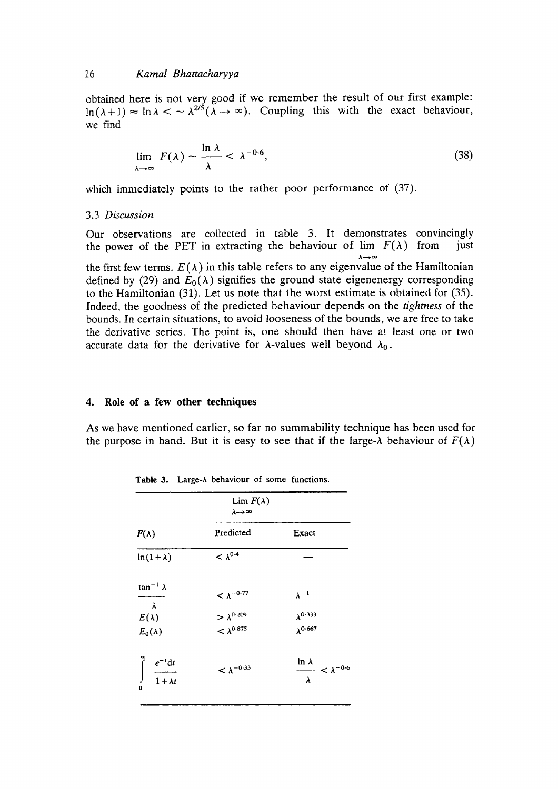obtained here is not very good if we remember the result of our first example:  $\ln(\lambda+1) \approx \ln \lambda < \sim \lambda^{2/5}(\lambda \to \infty)$ . Coupling this with the exact behaviour, we find

$$
\lim_{\lambda \to \infty} F(\lambda) \sim \frac{\ln \lambda}{\lambda} < \lambda^{-0.6}, \tag{38}
$$

which immediately points to the rather poor performance of  $(37)$ .

#### 3.3 *Discussion*

Our observations are collected in table 3. It demonstrates convincingly the power of the PET in extracting the behaviour of  $\lim F(\lambda)$  from just  $\lambda \rightarrow \infty$ the first few terms.  $E(\lambda)$  in this table refers to any eigenvalue of the Hamiltonian defined by (29) and  $E_0(\lambda)$  signifies the ground state eigenenergy corresponding to the Hamiltonian (31), Let us note that the worst estimate is obtained for (35). Indeed, the goodness of the predicted behaviour depends on the *tightness* of the bounds. In certain situations, to avoid looseness of the bounds, we are free to take the derivative series. The point is, one should then have at least one or two accurate data for the derivative for  $\lambda$ -values well beyond  $\lambda_0$ .

## **4. Role of a few other techniques**

As we have mentioned earlier, so far no summability technique has been used for the purpose in hand. But it is easy to see that if the large- $\lambda$  behaviour of  $F(\lambda)$ 

| $F(\lambda)$                                 | Predicted                                  | Exact                                          |  |  |
|----------------------------------------------|--------------------------------------------|------------------------------------------------|--|--|
| $ln(1+\lambda)$                              | $< \lambda^{0.4}$                          |                                                |  |  |
| $\tan^{-1} \lambda$<br>$\lambda$             | $<\lambda^{-0.77}$                         | $\lambda^{-1}$                                 |  |  |
| $E(\lambda)$                                 |                                            | $\lambda^{0.333}$                              |  |  |
| $E_0(\lambda)$                               | $> \lambda^{0.209}$<br>< $\lambda^{0.875}$ | $\lambda^{0.667}$                              |  |  |
| $\frac{e^{-t}dt}{1 + \lambda t}$<br>$\Omega$ | $< \lambda^{-0.33}$                        | $\frac{\ln \lambda}{\lambda} < \lambda^{-0.6}$ |  |  |

Table 3. Large- $\lambda$  behaviour of some functions.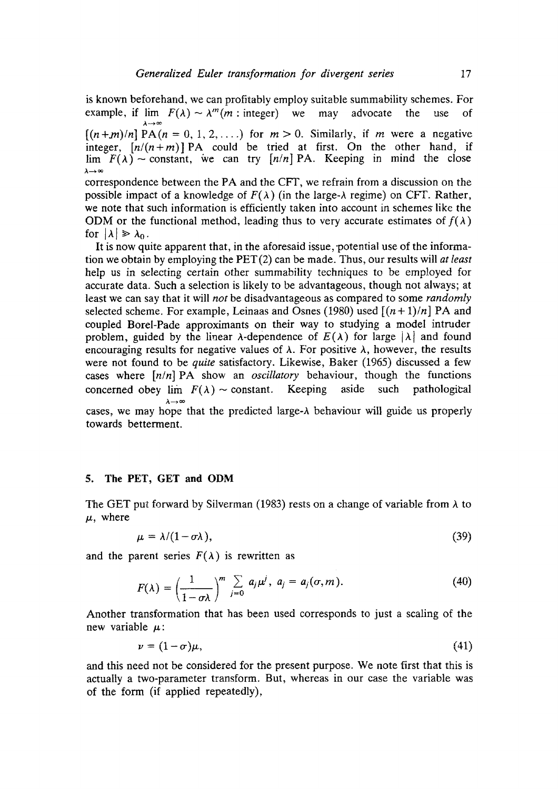is known beforehand, we can profitably employ suitable summability schemes. For example, if  $\lim_{\lambda \to \infty} F(\lambda) \sim \lambda^m(m : \text{integer})$  we may advocate the use of

 $[(n+m)/n]$   $PA(n = 0, 1, 2, \ldots)$  for  $m > 0$ . Similarly, if m were a negative integer,  $[n/(n+m)]$  PA could be tried at first. On the other hand, if  $\lim F(\lambda) \sim$  constant, we can try  $[n/n]$  PA. Keeping in mind the close  $\lambda \rightarrow \infty$ 

correspondence between the PA and the CFT, we refrain from a discussion on the possible impact of a knowledge of  $F(\lambda)$  (in the large- $\lambda$  regime) on CFT. Rather, we note that such information is efficiently taken into account in schemes like the ODM or the functional method, leading thus to very accurate estimates of  $f(\lambda)$ for  $|\lambda| \geq \lambda_0$ .

It is now quite apparent that, in the aforesaid issue, potential use of the information we obtain by employing the PET(2) can be made. Thus, our results will *at least*  help us in selecting certain other summability techniques to be employed for accurate data. Such a selection is likely to be advantageous, though not always; at least we can say that it will *not* be disadvantageous as compared to some *randomly*  selected scheme. For example, Leinaas and Osnes (1980) used  $[(n+1)/n]$  PA and coupled Borel-Pade approximants on their way to studying a model intruder problem, guided by the linear  $\lambda$ -dependence of  $E(\lambda)$  for large  $|\lambda|$  and found encouraging results for negative values of  $\lambda$ . For positive  $\lambda$ , however, the results were not found to be *quite* satisfactory. Likewise, Baker (1965) discussed a few cases where *[n/n]* PA show an *oscillatory* behaviour, though the functions concerned obey  $\lim F(\lambda) \sim$  constant. Keeping aside such pathological  $\lambda \rightarrow \infty$ cases, we may hope that the predicted large-A behaviour will guide us properly towards betterment.

### **5. The PET, GET and ODM**

The GET put forward by Silverman (1983) rests on a change of variable from  $\lambda$  to  $\mu$ , where

$$
\mu = \lambda/(1 - \sigma \lambda), \tag{39}
$$

and the parent series  $F(\lambda)$  is rewritten as

$$
F(\lambda) = \left(\frac{1}{1-\sigma\lambda}\right)^m \sum_{j=0}^{\infty} a_j \mu^j, \quad a_j = a_j(\sigma, m). \tag{40}
$$

Another transformation that has been used corresponds to just a scaling of the new variable  $\mu$ :

$$
\nu = (1 - \sigma)\mu,\tag{41}
$$

and this need not be considered for the present purpose. We note first that this is actually a two-parameter transform. But, whereas in our case the variable was of the form (if applied repeatedly),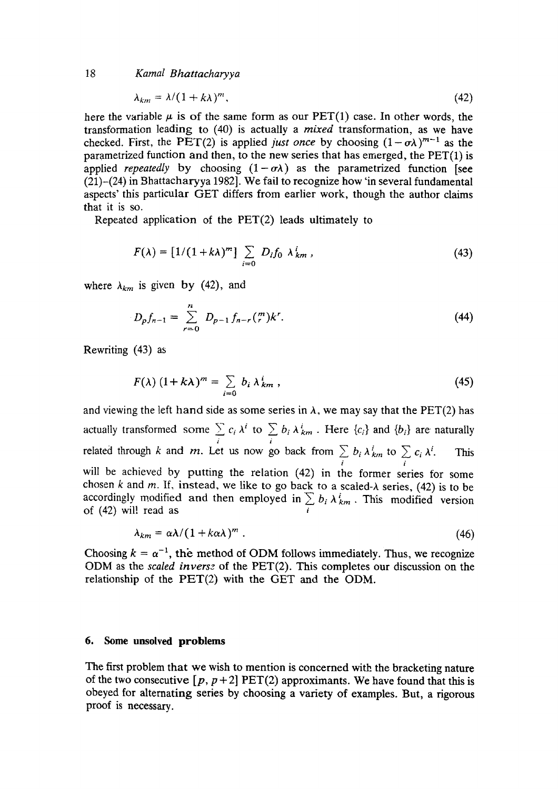$$
\lambda_{km} = \lambda/(1 + k\lambda)^m, \tag{42}
$$

here the variable  $\mu$  is of the same form as our PET(1) case. In other words, the transformation leading to (40) is actually a *mixed* transformation, as we have checked. First, the PET(2) is applied *just once* by choosing  $(1 - \sigma \lambda)^{m-1}$  as the parametrized function and then, to the new series that has emerged, the  $\text{PET}(1)$  is applied *repeatedly* by choosing  $(1 - \sigma \lambda)$  as the parametrized function [see (21)-(24) in Bhattacharyya 1982]. We fail to recognize how 'in several fundamental aspects' this particular GET differs from earlier work, though the author claims that it is so.

Repeated application of the PET(2) leads ultimately to

$$
F(\lambda) = [1/(1 + k\lambda)^m] \sum_{i=0} D_i f_0 \lambda_{km}^i,
$$
 (43)

where  $\lambda_{km}$  is given by (42), and

$$
D_p f_{n-1} = \sum_{r=0}^{n} D_{p-1} f_{n-r} \binom{m}{r} k^r. \tag{44}
$$

Rewriting (43) as

$$
F(\lambda) (1 + k\lambda)^m = \sum_{i=0} b_i \lambda_{km}^i,
$$
 (45)

and viewing the left hand side as some series in  $\lambda$ , we may say that the PET(2) has actually transformed some  $\sum c_i \lambda^i$  to  $\sum b_i \lambda^i_{km}$ . Here  $\{c_i\}$  and  $\{b_i\}$  are naturally i i related through k and m. Let us now go back from  $\sum b_i \lambda_{km}^i$  to  $\sum c_i \lambda^i$ . This  $i$  is in the set of  $i$ will be achieved by putting the relation (42) in the former series for some chosen k and m. If, instead, we like to go back to a scaled- $\lambda$  series, (42) is to be accordingly modified and then employed in  $\sum b_i \lambda_{km}^i$ . This modified version of  $(42)$  will read as i

$$
\lambda_{km} = \alpha \lambda / (1 + k \alpha \lambda)^m \tag{46}
$$

Choosing  $k = \alpha^{-1}$ , the method of ODM follows immediately. Thus, we recognize ODM as the *scaled inverse* of the PET(2). This completes our discussion on the relationship of the PET(2) with the GET and the ODM.

### **6. Some unsolved problems**

The first problem that we wish to mention is concerned with the bracketing nature of the two consecutive  $[p, p+2]$  PET(2) approximants. We have found that this is obeyed for alternating series by choosing a variety of examples. But, a rigorous proof is necessary.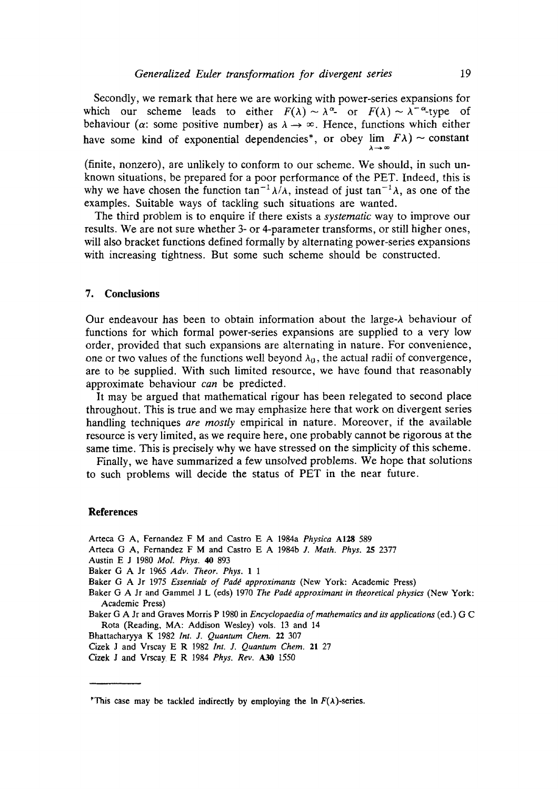Secondly, we remark that here we are working with power-series expansions for which our scheme leads to either  $F(\lambda) \sim \lambda^{\alpha}$  or  $F(\lambda) \sim \lambda^{-\alpha}$ -type of behaviour ( $\alpha$ : some positive number) as  $\lambda \rightarrow \infty$ . Hence, functions which either have some kind of exponential dependencies\*, or obey lim  $FA$ ) ~ constant

(finite, nonzero), are unlikely to conform to our scheme. We should, in such unknown situations, be prepared for a poor performance of the PET. Indeed, this is why we have chosen the function tan<sup>-1</sup> $\lambda/\lambda$ , instead of just tan<sup>-1</sup> $\lambda$ , as one of the examples. Suitable ways of tackling such situations are wanted.

The third problem is to enquire if there exists a *systematic* way to improve our results. We are not sure whether 3- or 4-parameter transforms, or still higher ones, will also bracket functions defined formally by alternating power-series expansions with increasing tightness. But some such scheme should be constructed.

## **7. Conclusions**

Our endeavour has been to obtain information about the large- $\lambda$  behaviour of functions for which formal power-series expansions are supplied to a very low order, provided that such expansions are alternating in nature. For convenience, one or two values of the functions well beyond  $\lambda_0$ , the actual radii of convergence, are to be supplied. With such limited resource, we have found that reasonably approximate behaviour *can* be predicted.

It may be argued that mathematical rigour has been relegated to second place throughout. This is true and we may emphasize here that work on divergent series handling techniques *are mostly* empirical in nature. Moreover, if the available resource is very limited, as we require here, one probably cannot be rigorous at the same time. This is precisely why we have stressed on the simplicity of this scheme.

Finally, we have summarized a few unsolved problems. We hope that solutions to such problems will decide the status of PET in the near future.

#### **References**

Arteca G A, Fernandez F M and Castro E A 1984a *Physica* A128 589

- Arteca G A, Fernandez F M and Castro E A 1984b *J. Math. Phys. 25* 2377
- Austin E J 1980 *Mol. Phys. 40* 893
- Baker G A Jr 1965 *Adv. Theor. Phys. 1 1*

- Baker G A Jr and Gammel J L (eds) 1970 *The Padé approximant in theoretical physics* (New York: Academic Press)
- Baker G A Jr and Graves Morris P 1980 in *Encyclopaedia of mathematics and its applications* (ed.) G C Rota (Reading, MA: Addison Wesley) vols. 13 and 14
- Bhattacharyya K 1982 *Int. J, Quantum Chem.* 22 307
- Cizek J and Vrscay E R 1982 *Int. J. Quantum Chem,* 21 27
- Cizek J and Vrscay E R 1984 *Phys. Rev. A30* 1550

Baker G A Jr 1975 *Essentials of Padé approximants* (New York: Academic Press)

<sup>&#</sup>x27;This case may be tackled indirectly by employing the  $\ln F(\lambda)$ -series.